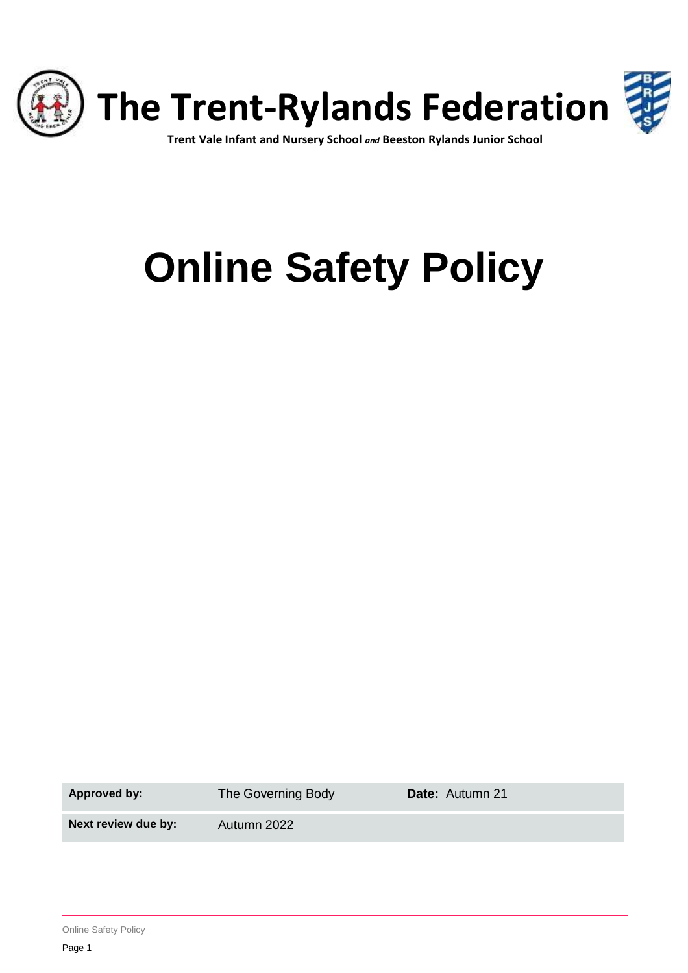

## **Trent Vale Infant and Nursery School** *and* **Beeston Rylands Junior School**

# **Online Safety Policy**

Approved by: The Governing Body **Date:** Autumn 21

**Next review due by:** Autumn 2022

Online Safety Policy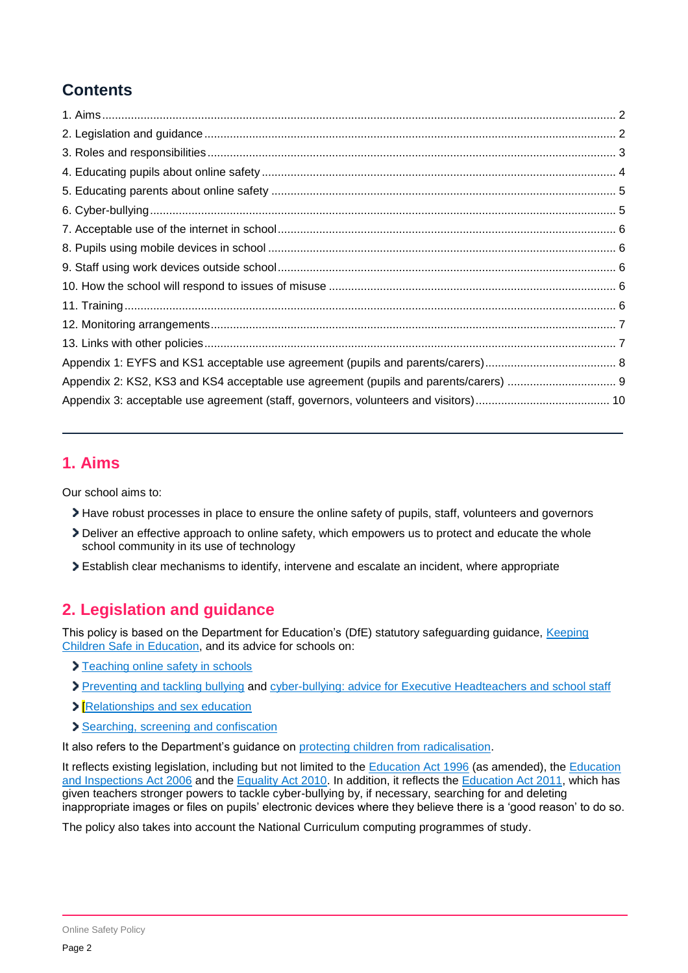# **Contents**

# <span id="page-1-0"></span>**1. Aims**

Our school aims to:

- Have robust processes in place to ensure the online safety of pupils, staff, volunteers and governors
- Deliver an effective approach to online safety, which empowers us to protect and educate the whole school community in its use of technology
- Establish clear mechanisms to identify, intervene and escalate an incident, where appropriate

# <span id="page-1-1"></span>**2. Legislation and guidance**

This policy is based on the Department for Education's (DfE) statutory safeguarding guidance, [Keeping](https://www.gov.uk/government/publications/keeping-children-safe-in-education--2)  [Children Safe in Education,](https://www.gov.uk/government/publications/keeping-children-safe-in-education--2) and its advice for schools on:

- > [Teaching online safety in schools](https://www.gov.uk/government/publications/teaching-online-safety-in-schools)
- > [Preventing and tackling bullying](https://www.gov.uk/government/publications/preventing-and-tackling-bullying) and [cyber-bullying: advice for Executive Headteachers and school staff](https://www.gov.uk/government/publications/preventing-and-tackling-bullying)
- **>** [\[Relationships and sex education](https://www.gov.uk/government/publications/relationships-education-relationships-and-sex-education-rse-and-health-education)
- [Searching, screening and confiscation](https://www.gov.uk/government/publications/searching-screening-and-confiscation)

It also refers to the Department's guidance on [protecting children from radicalisation.](https://www.gov.uk/government/publications/protecting-children-from-radicalisation-the-prevent-duty)

It reflects existing legislation, including but not limited to the **Education Act 1996** (as amended), the *Education* [and Inspections Act 2006](https://www.legislation.gov.uk/ukpga/2006/40/contents) and the [Equality Act 2010.](https://www.legislation.gov.uk/ukpga/2010/15/contents) In addition, it reflects the [Education Act 2011,](http://www.legislation.gov.uk/ukpga/2011/21/contents/enacted) which has given teachers stronger powers to tackle cyber-bullying by, if necessary, searching for and deleting inappropriate images or files on pupils' electronic devices where they believe there is a 'good reason' to do so.

<span id="page-1-2"></span>The policy also takes into account the National Curriculum computing programmes of study.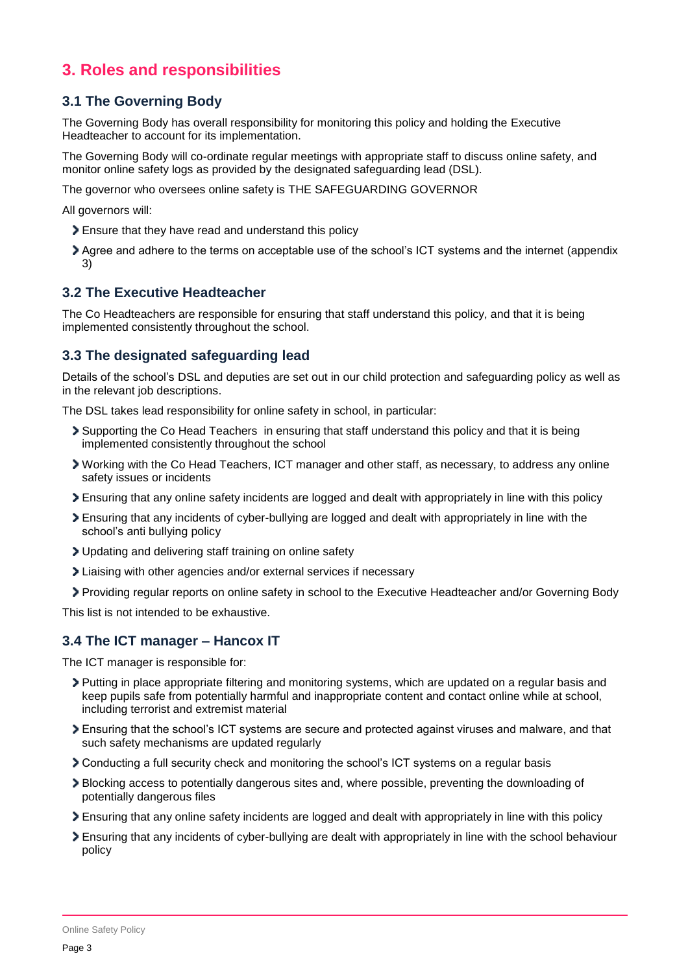# **3. Roles and responsibilities**

## **3.1 The Governing Body**

The Governing Body has overall responsibility for monitoring this policy and holding the Executive Headteacher to account for its implementation.

The Governing Body will co-ordinate regular meetings with appropriate staff to discuss online safety, and monitor online safety logs as provided by the designated safeguarding lead (DSL).

The governor who oversees online safety is THE SAFEGUARDING GOVERNOR

All governors will:

- Ensure that they have read and understand this policy
- Agree and adhere to the terms on acceptable use of the school's ICT systems and the internet (appendix 3)

## **3.2 The Executive Headteacher**

The Co Headteachers are responsible for ensuring that staff understand this policy, and that it is being implemented consistently throughout the school.

## **3.3 The designated safeguarding lead**

Details of the school's DSL and deputies are set out in our child protection and safeguarding policy as well as in the relevant job descriptions.

The DSL takes lead responsibility for online safety in school, in particular:

- Supporting the Co Head Teachers in ensuring that staff understand this policy and that it is being implemented consistently throughout the school
- Working with the Co Head Teachers, ICT manager and other staff, as necessary, to address any online safety issues or incidents
- Ensuring that any online safety incidents are logged and dealt with appropriately in line with this policy
- Ensuring that any incidents of cyber-bullying are logged and dealt with appropriately in line with the school's anti bullying policy
- Updating and delivering staff training on online safety
- Liaising with other agencies and/or external services if necessary
- Providing regular reports on online safety in school to the Executive Headteacher and/or Governing Body

This list is not intended to be exhaustive.

## **3.4 The ICT manager – Hancox IT**

The ICT manager is responsible for:

- Putting in place appropriate filtering and monitoring systems, which are updated on a regular basis and keep pupils safe from potentially harmful and inappropriate content and contact online while at school, including terrorist and extremist material
- Ensuring that the school's ICT systems are secure and protected against viruses and malware, and that such safety mechanisms are updated regularly
- Conducting a full security check and monitoring the school's ICT systems on a regular basis
- Blocking access to potentially dangerous sites and, where possible, preventing the downloading of potentially dangerous files
- Ensuring that any online safety incidents are logged and dealt with appropriately in line with this policy
- Ensuring that any incidents of cyber-bullying are dealt with appropriately in line with the school behaviour policy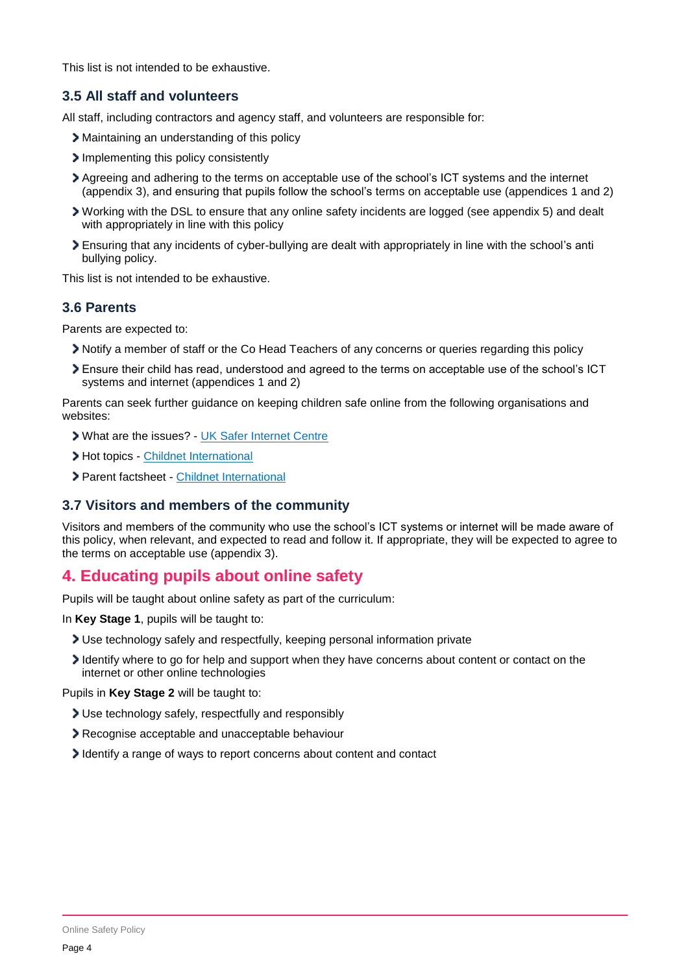This list is not intended to be exhaustive.

## **3.5 All staff and volunteers**

All staff, including contractors and agency staff, and volunteers are responsible for:

- Maintaining an understanding of this policy
- Implementing this policy consistently
- Agreeing and adhering to the terms on acceptable use of the school's ICT systems and the internet (appendix 3), and ensuring that pupils follow the school's terms on acceptable use (appendices 1 and 2)
- Working with the DSL to ensure that any online safety incidents are logged (see appendix 5) and dealt with appropriately in line with this policy
- Ensuring that any incidents of cyber-bullying are dealt with appropriately in line with the school's anti bullying policy.

This list is not intended to be exhaustive.

## **3.6 Parents**

Parents are expected to:

- Notify a member of staff or the Co Head Teachers of any concerns or queries regarding this policy
- Ensure their child has read, understood and agreed to the terms on acceptable use of the school's ICT systems and internet (appendices 1 and 2)

Parents can seek further guidance on keeping children safe online from the following organisations and websites:

- What are the issues? [UK Safer Internet Centre](https://www.saferinternet.org.uk/advice-centre/parents-and-carers/what-are-issues)
- > Hot topics [Childnet International](http://www.childnet.com/parents-and-carers/hot-topics)
- Parent factsheet [Childnet International](https://www.childnet.com/resources/parents-and-carers-resource-sheet)

## **3.7 Visitors and members of the community**

Visitors and members of the community who use the school's ICT systems or internet will be made aware of this policy, when relevant, and expected to read and follow it. If appropriate, they will be expected to agree to the terms on acceptable use (appendix 3).

# <span id="page-3-0"></span>**4. Educating pupils about online safety**

Pupils will be taught about online safety as part of the curriculum:

In **Key Stage 1**, pupils will be taught to:

- Use technology safely and respectfully, keeping personal information private
- Identify where to go for help and support when they have concerns about content or contact on the internet or other online technologies

Pupils in **Key Stage 2** will be taught to:

- Use technology safely, respectfully and responsibly
- Recognise acceptable and unacceptable behaviour
- I dentify a range of ways to report concerns about content and contact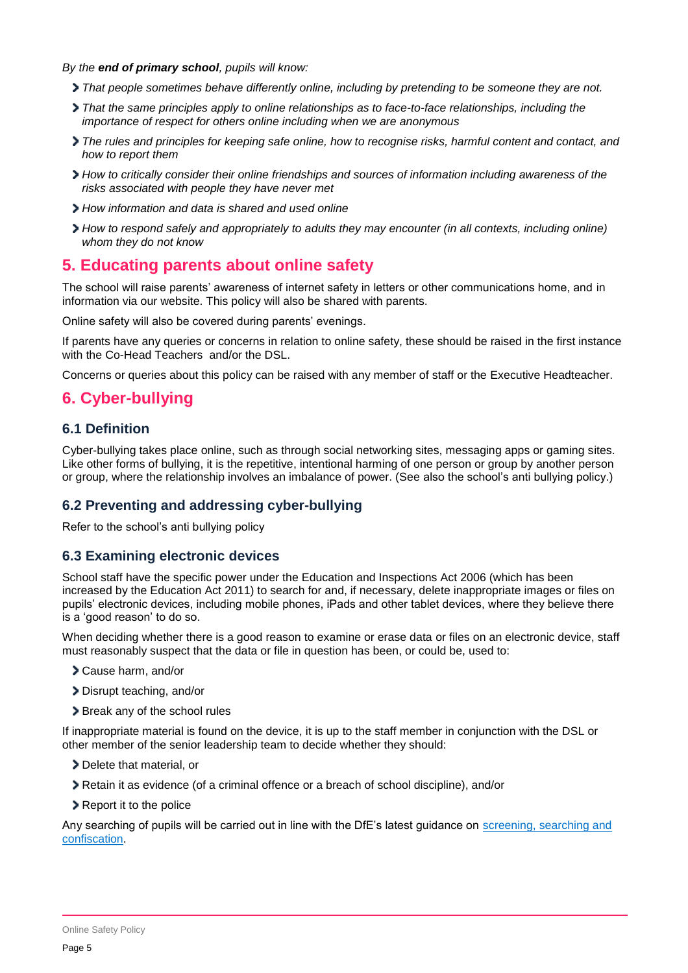#### *By the end of primary school, pupils will know:*

- *That people sometimes behave differently online, including by pretending to be someone they are not.*
- *That the same principles apply to online relationships as to face-to-face relationships, including the importance of respect for others online including when we are anonymous*
- *The rules and principles for keeping safe online, how to recognise risks, harmful content and contact, and how to report them*
- *How to critically consider their online friendships and sources of information including awareness of the risks associated with people they have never met*
- *How information and data is shared and used online*
- *How to respond safely and appropriately to adults they may encounter (in all contexts, including online) whom they do not know*

## <span id="page-4-0"></span>**5. Educating parents about online safety**

The school will raise parents' awareness of internet safety in letters or other communications home, and in information via our website. This policy will also be shared with parents.

Online safety will also be covered during parents' evenings.

If parents have any queries or concerns in relation to online safety, these should be raised in the first instance with the Co-Head Teachers and/or the DSL.

Concerns or queries about this policy can be raised with any member of staff or the Executive Headteacher.

# <span id="page-4-1"></span>**6. Cyber-bullying**

## **6.1 Definition**

Cyber-bullying takes place online, such as through social networking sites, messaging apps or gaming sites. Like other forms of bullying, it is the repetitive, intentional harming of one person or group by another person or group, where the relationship involves an imbalance of power. (See also the school's anti bullying policy.)

## **6.2 Preventing and addressing cyber-bullying**

Refer to the school's anti bullying policy

#### **6.3 Examining electronic devices**

School staff have the specific power under the Education and Inspections Act 2006 (which has been increased by the Education Act 2011) to search for and, if necessary, delete inappropriate images or files on pupils' electronic devices, including mobile phones, iPads and other tablet devices, where they believe there is a 'good reason' to do so.

When deciding whether there is a good reason to examine or erase data or files on an electronic device, staff must reasonably suspect that the data or file in question has been, or could be, used to:

- Cause harm, and/or
- Disrupt teaching, and/or
- > Break any of the school rules

If inappropriate material is found on the device, it is up to the staff member in conjunction with the DSL or other member of the senior leadership team to decide whether they should:

- > Delete that material, or
- Retain it as evidence (of a criminal offence or a breach of school discipline), and/or
- Report it to the police

Any searching of pupils will be carried out in line with the DfE's latest guidance on [screening, searching and](https://www.gov.uk/government/publications/searching-screening-and-confiscation)  [confiscation.](https://www.gov.uk/government/publications/searching-screening-and-confiscation)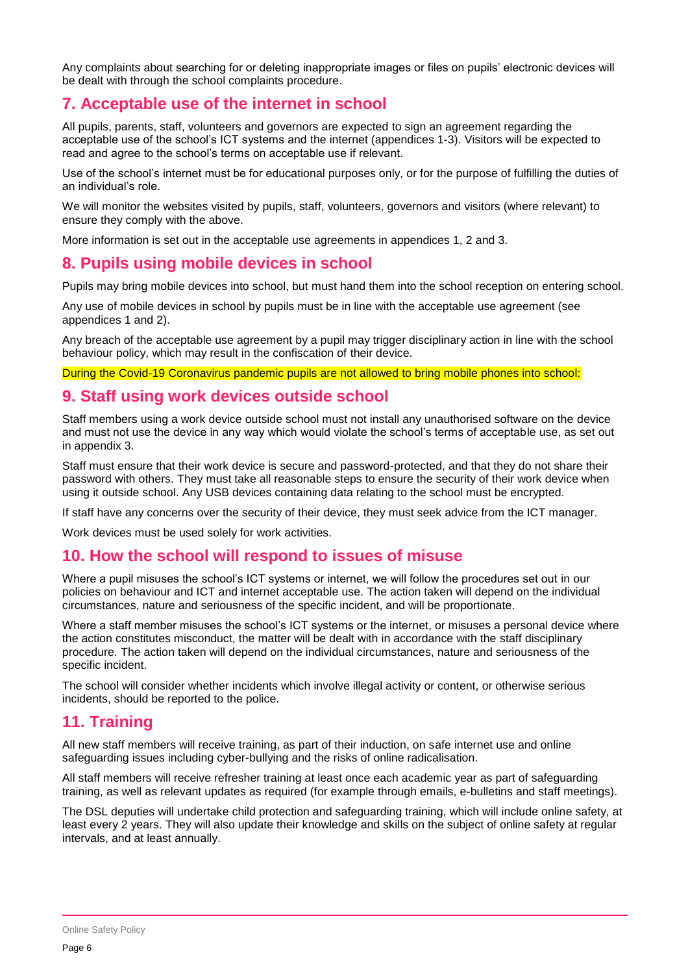Any complaints about searching for or deleting inappropriate images or files on pupils' electronic devices will be dealt with through the school complaints procedure.

# <span id="page-5-0"></span>**7. Acceptable use of the internet in school**

All pupils, parents, staff, volunteers and governors are expected to sign an agreement regarding the acceptable use of the school's ICT systems and the internet (appendices 1-3). Visitors will be expected to read and agree to the school's terms on acceptable use if relevant.

Use of the school's internet must be for educational purposes only, or for the purpose of fulfilling the duties of an individual's role.

We will monitor the websites visited by pupils, staff, volunteers, governors and visitors (where relevant) to ensure they comply with the above.

More information is set out in the acceptable use agreements in appendices 1, 2 and 3.

## <span id="page-5-1"></span>**8. Pupils using mobile devices in school**

Pupils may bring mobile devices into school, but must hand them into the school reception on entering school.

Any use of mobile devices in school by pupils must be in line with the acceptable use agreement (see appendices 1 and 2).

Any breach of the acceptable use agreement by a pupil may trigger disciplinary action in line with the school behaviour policy, which may result in the confiscation of their device.

During the Covid-19 Coronavirus pandemic pupils are not allowed to bring mobile phones into school:

## <span id="page-5-2"></span>**9. Staff using work devices outside school**

Staff members using a work device outside school must not install any unauthorised software on the device and must not use the device in any way which would violate the school's terms of acceptable use, as set out in appendix 3.

Staff must ensure that their work device is secure and password-protected, and that they do not share their password with others. They must take all reasonable steps to ensure the security of their work device when using it outside school. Any USB devices containing data relating to the school must be encrypted.

If staff have any concerns over the security of their device, they must seek advice from the ICT manager.

Work devices must be used solely for work activities.

## <span id="page-5-3"></span>**10. How the school will respond to issues of misuse**

Where a pupil misuses the school's ICT systems or internet, we will follow the procedures set out in our policies on behaviour and ICT and internet acceptable use. The action taken will depend on the individual circumstances, nature and seriousness of the specific incident, and will be proportionate.

Where a staff member misuses the school's ICT systems or the internet, or misuses a personal device where the action constitutes misconduct, the matter will be dealt with in accordance with the staff disciplinary procedure. The action taken will depend on the individual circumstances, nature and seriousness of the specific incident.

The school will consider whether incidents which involve illegal activity or content, or otherwise serious incidents, should be reported to the police.

## <span id="page-5-4"></span>**11. Training**

All new staff members will receive training, as part of their induction, on safe internet use and online safeguarding issues including cyber-bullying and the risks of online radicalisation.

All staff members will receive refresher training at least once each academic year as part of safeguarding training, as well as relevant updates as required (for example through emails, e-bulletins and staff meetings).

The DSL deputies will undertake child protection and safeguarding training, which will include online safety, at least every 2 years. They will also update their knowledge and skills on the subject of online safety at regular intervals, and at least annually.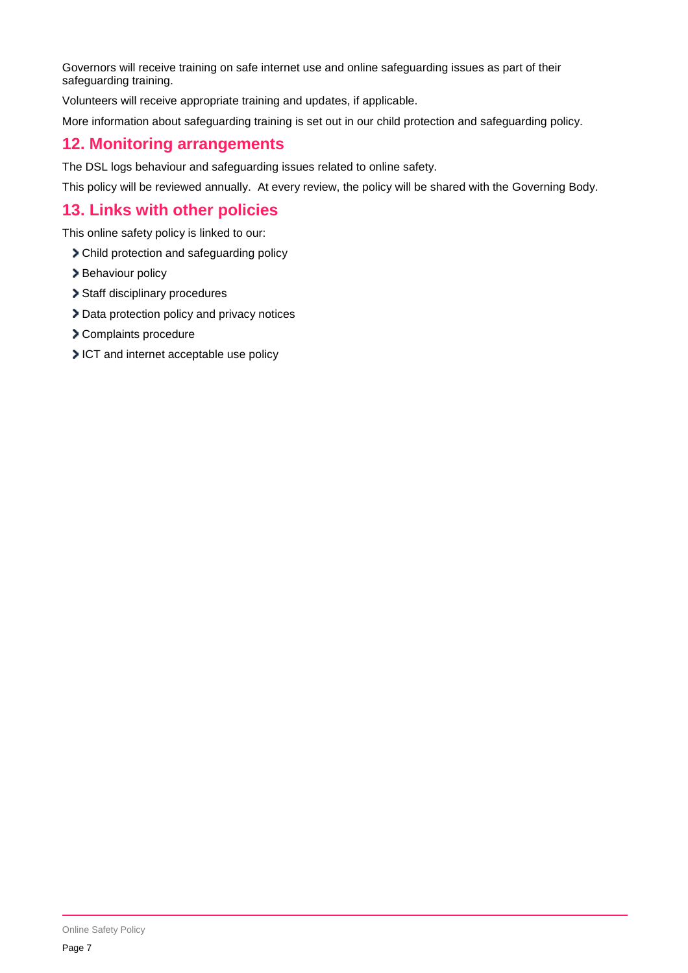Governors will receive training on safe internet use and online safeguarding issues as part of their safeguarding training.

Volunteers will receive appropriate training and updates, if applicable.

More information about safeguarding training is set out in our child protection and safeguarding policy.

# <span id="page-6-0"></span>**12. Monitoring arrangements**

The DSL logs behaviour and safeguarding issues related to online safety.

This policy will be reviewed annually. At every review, the policy will be shared with the Governing Body.

# <span id="page-6-1"></span>**13. Links with other policies**

This online safety policy is linked to our:

- Child protection and safeguarding policy
- > Behaviour policy
- > Staff disciplinary procedures
- > Data protection policy and privacy notices
- Complaints procedure
- ICT and internet acceptable use policy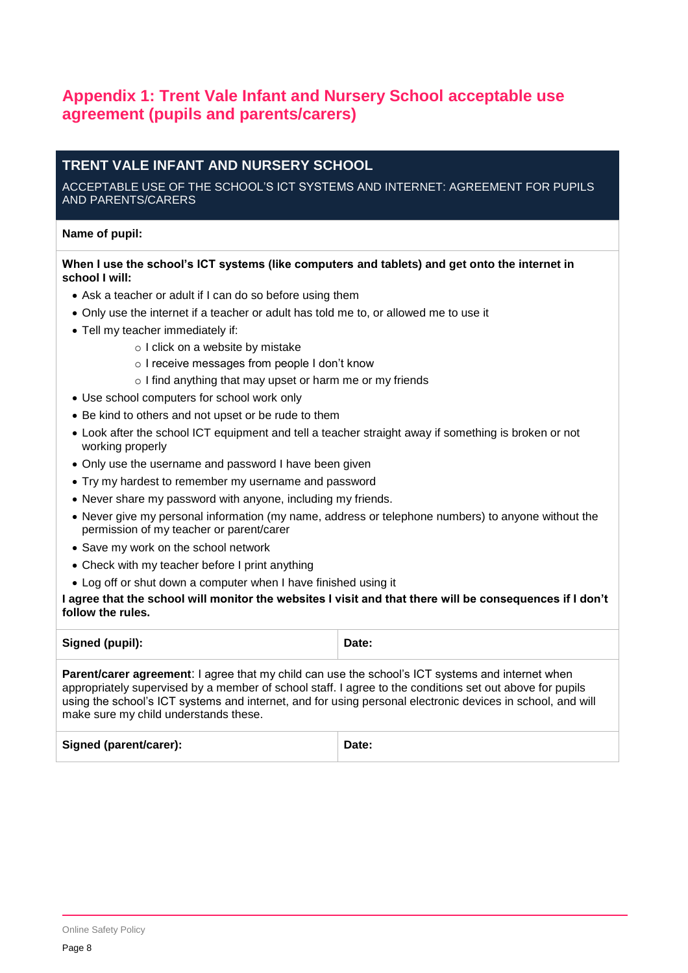# <span id="page-7-0"></span>**Appendix 1: Trent Vale Infant and Nursery School acceptable use agreement (pupils and parents/carers)**

## **TRENT VALE INFANT AND NURSERY SCHOOL**

#### ACCEPTABLE USE OF THE SCHOOL'S ICT SYSTEMS AND INTERNET: AGREEMENT FOR PUPILS AND PARENTS/CARERS

#### **Name of pupil:**

#### **When I use the school's ICT systems (like computers and tablets) and get onto the internet in school I will:**

- Ask a teacher or adult if I can do so before using them
- Only use the internet if a teacher or adult has told me to, or allowed me to use it
- Tell my teacher immediately if:
	- o I click on a website by mistake
	- o I receive messages from people I don't know
	- o I find anything that may upset or harm me or my friends
- Use school computers for school work only
- Be kind to others and not upset or be rude to them
- Look after the school ICT equipment and tell a teacher straight away if something is broken or not working properly
- Only use the username and password I have been given
- Try my hardest to remember my username and password
- Never share my password with anyone, including my friends.
- Never give my personal information (my name, address or telephone numbers) to anyone without the permission of my teacher or parent/carer
- Save my work on the school network
- Check with my teacher before I print anything
- Log off or shut down a computer when I have finished using it

#### **I agree that the school will monitor the websites I visit and that there will be consequences if I don't follow the rules.**

| Signed (pupil):                                                                                                                                                                                                                                                                                                                                                            | Date: |
|----------------------------------------------------------------------------------------------------------------------------------------------------------------------------------------------------------------------------------------------------------------------------------------------------------------------------------------------------------------------------|-------|
| <b>Parent/carer agreement:</b> I agree that my child can use the school's ICT systems and internet when<br>appropriately supervised by a member of school staff. I agree to the conditions set out above for pupils<br>using the school's ICT systems and internet, and for using personal electronic devices in school, and will<br>make sure my child understands these. |       |

| <b>Signed (parent/carer):</b> | Date: |
|-------------------------------|-------|
|                               |       |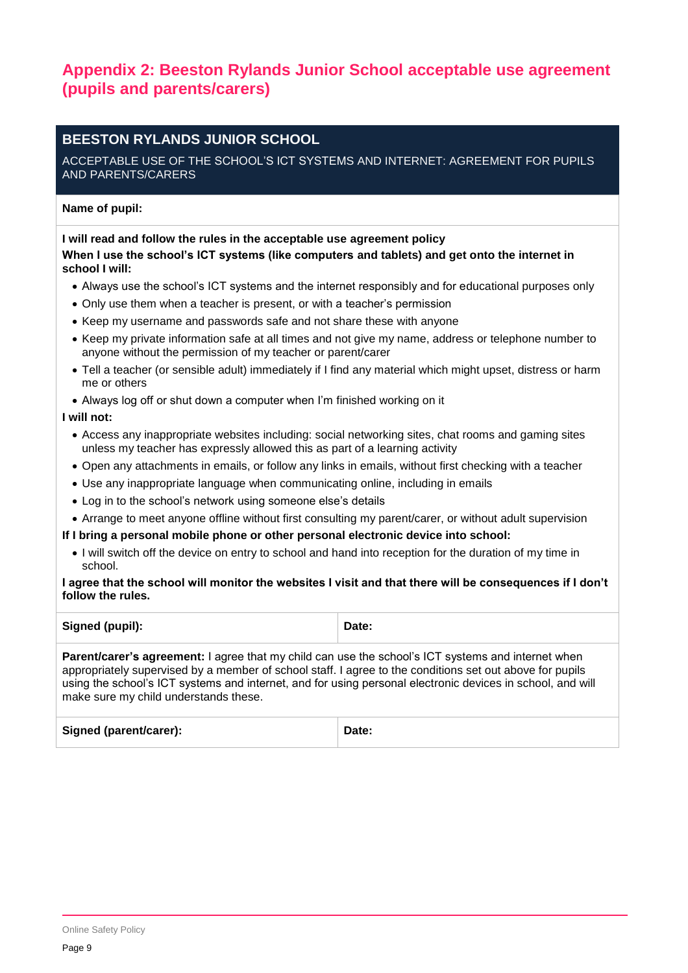# <span id="page-8-0"></span>**Appendix 2: Beeston Rylands Junior School acceptable use agreement (pupils and parents/carers)**

# **BEESTON RYLANDS JUNIOR SCHOOL**

#### ACCEPTABLE USE OF THE SCHOOL'S ICT SYSTEMS AND INTERNET: AGREEMENT FOR PUPILS AND PARENTS/CARERS

## **Name of pupil:**

## **I will read and follow the rules in the acceptable use agreement policy When I use the school's ICT systems (like computers and tablets) and get onto the internet in school I will:**

- Always use the school's ICT systems and the internet responsibly and for educational purposes only
- Only use them when a teacher is present, or with a teacher's permission
- Keep my username and passwords safe and not share these with anyone
- Keep my private information safe at all times and not give my name, address or telephone number to anyone without the permission of my teacher or parent/carer
- Tell a teacher (or sensible adult) immediately if I find any material which might upset, distress or harm me or others
- Always log off or shut down a computer when I'm finished working on it

## **I will not:**

- Access any inappropriate websites including: social networking sites, chat rooms and gaming sites unless my teacher has expressly allowed this as part of a learning activity
- Open any attachments in emails, or follow any links in emails, without first checking with a teacher
- Use any inappropriate language when communicating online, including in emails
- Log in to the school's network using someone else's details
- Arrange to meet anyone offline without first consulting my parent/carer, or without adult supervision

#### **If I bring a personal mobile phone or other personal electronic device into school:**

• I will switch off the device on entry to school and hand into reception for the duration of my time in school.

#### **I agree that the school will monitor the websites I visit and that there will be consequences if I don't follow the rules.**

| Signed (pupil): | Date: |
|-----------------|-------|
|                 |       |

**Parent/carer's agreement:** I agree that my child can use the school's ICT systems and internet when appropriately supervised by a member of school staff. I agree to the conditions set out above for pupils using the school's ICT systems and internet, and for using personal electronic devices in school, and will make sure my child understands these.

| <b>Signed (parent/carer):</b> | Date: |
|-------------------------------|-------|
|                               |       |